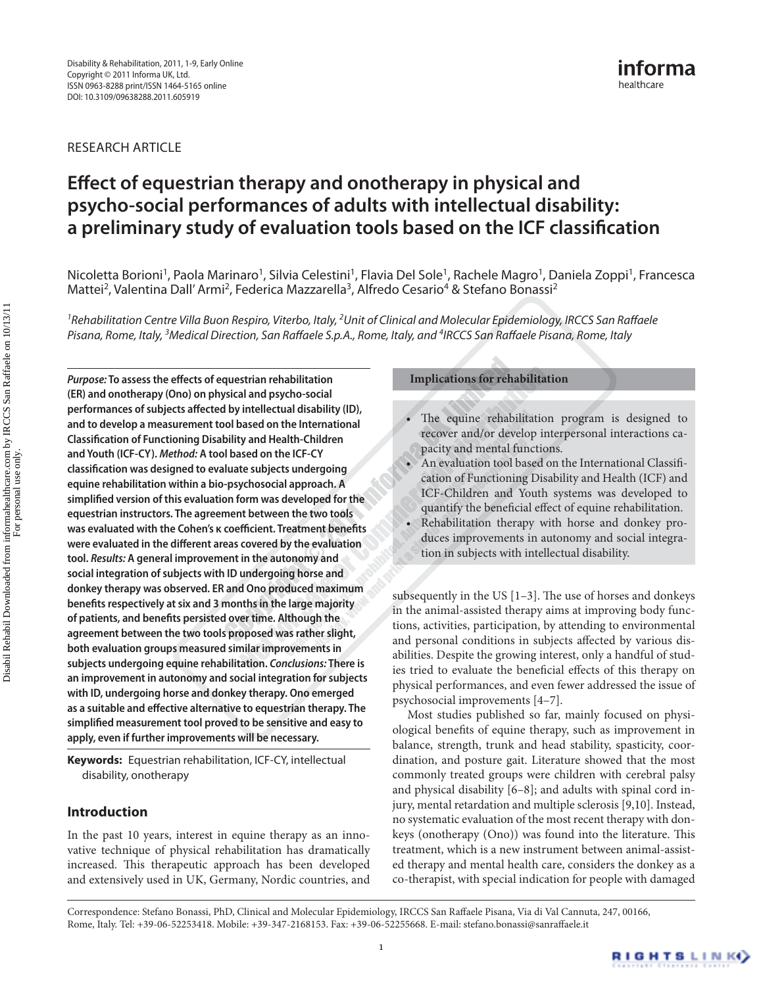# RESEARCH ARTICLE

# **Effect of equestrian therapy and onotherapy in physical and psycho-social performances of adults with intellectual disability: a preliminary study of evaluation tools based on the ICF classification**

Nicoletta Borioni<sup>1</sup>, Paola Marinaro<sup>1</sup>, Silvia Celestini<sup>1</sup>, Flavia Del Sole<sup>1</sup>, Rachele Magro<sup>1</sup>, Daniela Zoppi<sup>1</sup>, Francesca Mattei<sup>2</sup>, Valentina Dall' Armi<sup>2</sup>, Federica Mazzarella<sup>3</sup>, Alfredo Cesario<sup>4</sup> & Stefano Bonassi<sup>2</sup>

<sup>1</sup> Rehabilitation Centre Villa Buon Respiro, Viterbo, Italy, <sup>2</sup>Unit of Clinical and Molecular Epidemiology, IRCCS San Raffaele *Pisana, Rome, Italy, 3 Medical Direction, San Raffaele S.p.A., Rome, Italy, and 4 IRCCS San Raffaele Pisana, Rome, Italy* 

*Purpose:* **To assess the effects of equestrian rehabilitation (ER) and onotherapy (Ono) on physical and psycho-social performances of subjects affected by intellectual disability (ID), and to develop a measurement tool based on the International Classification of Functioning Disability and Health-Children and Youth (ICF-CY).** *Method:* **A tool based on the ICF-CY classification was designed to evaluate subjects undergoing equine rehabilitation within a bio-psychosocial approach. A simplified version of this evaluation form was developed for the equestrian instructors. The agreement between the two tools was evaluated with the Cohen's κ coefficient. Treatment benefits were evaluated in the different areas covered by the evaluation tool.** *Results:* **A general improvement in the autonomy and social integration of subjects with ID undergoing horse and donkey therapy was observed. ER and Ono produced maximum benefits respectively at six and 3 months in the large majority of patients, and benefits persisted over time. Although the agreement between the two tools proposed was rather slight, both evaluation groups measured similar improvements in subjects undergoing equine rehabilitation.** *Conclusions:* **There is an improvement in autonomy and social integration for subjects with ID, undergoing horse and donkey therapy. Ono emerged as a suitable and effective alternative to equestrian therapy. The simplified measurement tool proved to be sensitive and easy to apply, even if further improvements will be necessary.**

Keywords: Equestrian rehabilitation, ICF-CY, intellectual disability, onotherapy

# **Introduction**

In the past 10 years, interest in equine therapy as an innovative technique of physical rehabilitation has dramatically increased. This therapeutic approach has been developed and extensively used in UK, Germany, Nordic countries, and

#### **Implications for rehabilitation**

- The equine rehabilitation program is designed to recover and/or develop interpersonal interactions capacity and mental functions.
- • An evaluation tool based on the International Classification of Functioning Disability and Health (ICF) and ICF-Children and Youth systems was developed to quantify the beneficial effect of equine rehabilitation.
- Rehabilitation therapy with horse and donkey produces improvements in autonomy and social integration in subjects with intellectual disability.

subsequently in the US [1–3]. The use of horses and donkeys in the animal-assisted therapy aims at improving body functions, activities, participation, by attending to environmental and personal conditions in subjects affected by various disabilities. Despite the growing interest, only a handful of studies tried to evaluate the beneficial effects of this therapy on physical performances, and even fewer addressed the issue of psychosocial improvements [4–7].

Most studies published so far, mainly focused on physiological benefits of equine therapy, such as improvement in balance, strength, trunk and head stability, spasticity, coordination, and posture gait. Literature showed that the most commonly treated groups were children with cerebral palsy and physical disability [6–8]; and adults with spinal cord injury, mental retardation and multiple sclerosis [\[9](#page-6-0)[,10\]](#page-7-0). Instead, no systematic evaluation of the most recent therapy with donkeys (onotherapy (Ono)) was found into the literature. This treatment, which is a new instrument between animal-assisted therapy and mental health care, considers the donkey as a co-therapist, with special indication for people with damaged

Correspondence: Stefano Bonassi, PhD, Clinical and Molecular Epidemiology, IRCCS San Raffaele Pisana, Via di Val Cannuta, 247, 00166, Rome, Italy. Tel: +39-06-52253418. Mobile: +39-347-2168153. Fax: +39-06-52255668. E-mail: [stefano.bonassi@sanraffaele.it](mailto:stefano.bonassi@sanraffaele.it)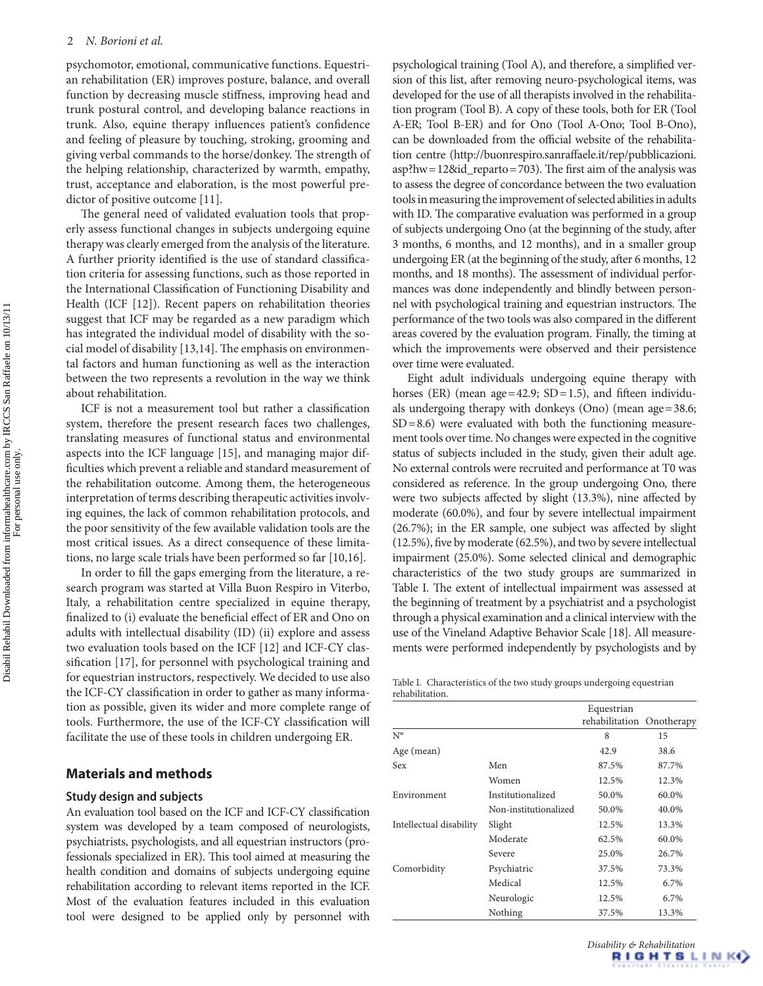psychomotor, emotional, communicative functions. Equestrian rehabilitation (ER) improves posture, balance, and overall function by decreasing muscle stiffness, improving head and trunk postural control, and developing balance reactions in trunk. Also, equine therapy influences patient's confidence and feeling of pleasure by touching, stroking, grooming and giving verbal commands to the horse/donkey. The strength of the helping relationship, characterized by warmth, empathy, trust, acceptance and elaboration, is the most powerful predictor of positive outcome [\[11\]](#page-7-1).

The general need of validated evaluation tools that properly assess functional changes in subjects undergoing equine therapy was clearly emerged from the analysis of the literature. A further priority identified is the use of standard classification criteria for assessing functions, such as those reported in the International Classification of Functioning Disability and Health (ICF [[12](#page-7-2)]). Recent papers on rehabilitation theories suggest that ICF may be regarded as a new paradigm which has integrated the individual model of disability with the social model of disability [[13](#page-7-3)[,14](#page-7-4)]. The emphasis on environmental factors and human functioning as well as the interaction between the two represents a revolution in the way we think about rehabilitation.

ICF is not a measurement tool but rather a classification system, therefore the present research faces two challenges, translating measures of functional status and environmental aspects into the ICF language [\[15\]](#page-7-5), and managing major difficulties which prevent a reliable and standard measurement of the rehabilitation outcome. Among them, the heterogeneous interpretation of terms describing therapeutic activities involving equines, the lack of common rehabilitation protocols, and the poor sensitivity of the few available validation tools are the most critical issues. As a direct consequence of these limitations, no large scale trials have been performed so far [\[10,](#page-7-0)[16](#page-7-6)].

In order to fill the gaps emerging from the literature, a research program was started at Villa Buon Respiro in Viterbo, Italy, a rehabilitation centre specialized in equine therapy, finalized to (i) evaluate the beneficial effect of ER and Ono on adults with intellectual disability (ID) (ii) explore and assess two evaluation tools based on the ICF [\[12\]](#page-7-2) and ICF-CY classification [\[17](#page-7-7)], for personnel with psychological training and for equestrian instructors, respectively. We decided to use also the ICF-CY classification in order to gather as many information as possible, given its wider and more complete range of tools. Furthermore, the use of the ICF-CY classification will facilitate the use of these tools in children undergoing ER.

### **Materials and methods**

#### **Study design and subjects**

An evaluation tool based on the ICF and ICF-CY classification system was developed by a team composed of neurologists, psychiatrists, psychologists, and all equestrian instructors (professionals specialized in ER). This tool aimed at measuring the health condition and domains of subjects undergoing equine rehabilitation according to relevant items reported in the ICF. Most of the evaluation features included in this evaluation tool were designed to be applied only by personnel with

psychological training (Tool A), and therefore, a simplified version of this list, after removing neuro-psychological items, was developed for the use of all therapists involved in the rehabilitation program (Tool B). A copy of these tools, both for ER (Tool A-ER; Tool B-ER) and for Ono (Tool A-Ono; Tool B-Ono), can be downloaded from the official website of the rehabilitation centre [\(http://buonrespiro.sanraffaele.it/rep/pubblicazioni.](http://buonrespiro.sanraffaele.it/rep/pubblicazioni.asp?hw<2009>=<2009>12&id_reparto<2009>=<2009>703) [asp?hw=12&id\\_reparto=703\)](http://buonrespiro.sanraffaele.it/rep/pubblicazioni.asp?hw<2009>=<2009>12&id_reparto<2009>=<2009>703). The first aim of the analysis was to assess the degree of concordance between the two evaluation tools in measuring the improvement of selected abilities in adults with ID. The comparative evaluation was performed in a group of subjects undergoing Ono (at the beginning of the study, after 3 months, 6 months, and 12 months), and in a smaller group undergoing ER (at the beginning of the study, after 6 months, 12 months, and 18 months). The assessment of individual performances was done independently and blindly between personnel with psychological training and equestrian instructors. The performance of the two tools was also compared in the different areas covered by the evaluation program. Finally, the timing at which the improvements were observed and their persistence over time were evaluated.

Eight adult individuals undergoing equine therapy with horses (ER) (mean age = 42.9;  $SD = 1.5$ ), and fifteen individuals undergoing therapy with donkeys (Ono) (mean age=38.6;  $SD = 8.6$ ) were evaluated with both the functioning measurement tools over time. No changes were expected in the cognitive status of subjects included in the study, given their adult age. No external controls were recruited and performance at T0 was considered as reference. In the group undergoing Ono, there were two subjects affected by slight (13.3%), nine affected by moderate (60.0%), and four by severe intellectual impairment (26.7%); in the ER sample, one subject was affected by slight (12.5%), five by moderate (62.5%), and two by severe intellectual impairment (25.0%). Some selected clinical and demographic characteristics of the two study groups are summarized in Table I. The extent of intellectual impairment was assessed at the beginning of treatment by a psychiatrist and a psychologist through a physical examination and a clinical interview with the use of the Vineland Adaptive Behavior Scale [[18](#page-7-8)]. All measurements were performed independently by psychologists and by

Table I. Characteristics of the two study groups undergoing equestrian rehabilitation.

|                         |                       | Equestrian<br>rehabilitation Onotherapy |       |
|-------------------------|-----------------------|-----------------------------------------|-------|
| $N^{\circ}$             |                       | 8                                       | 15    |
| Age (mean)              |                       | 42.9                                    | 38.6  |
| Sex                     | Men                   | 87.5%                                   | 87.7% |
|                         | Women                 | 12.5%                                   | 12.3% |
| Environment             | Institutionalized     | 50.0%                                   | 60.0% |
|                         | Non-institutionalized | 50.0%                                   | 40.0% |
| Intellectual disability | Slight                | 12.5%                                   | 13.3% |
|                         | Moderate              | 62.5%                                   | 60.0% |
|                         | Severe                | 25.0%                                   | 26.7% |
| Comorbidity             | Psychiatric           | 37.5%                                   | 73.3% |
|                         | Medical               | 12.5%                                   | 6.7%  |
|                         | Neurologic            | 12.5%                                   | 6.7%  |
|                         | Nothing               | 37.5%                                   | 13.3% |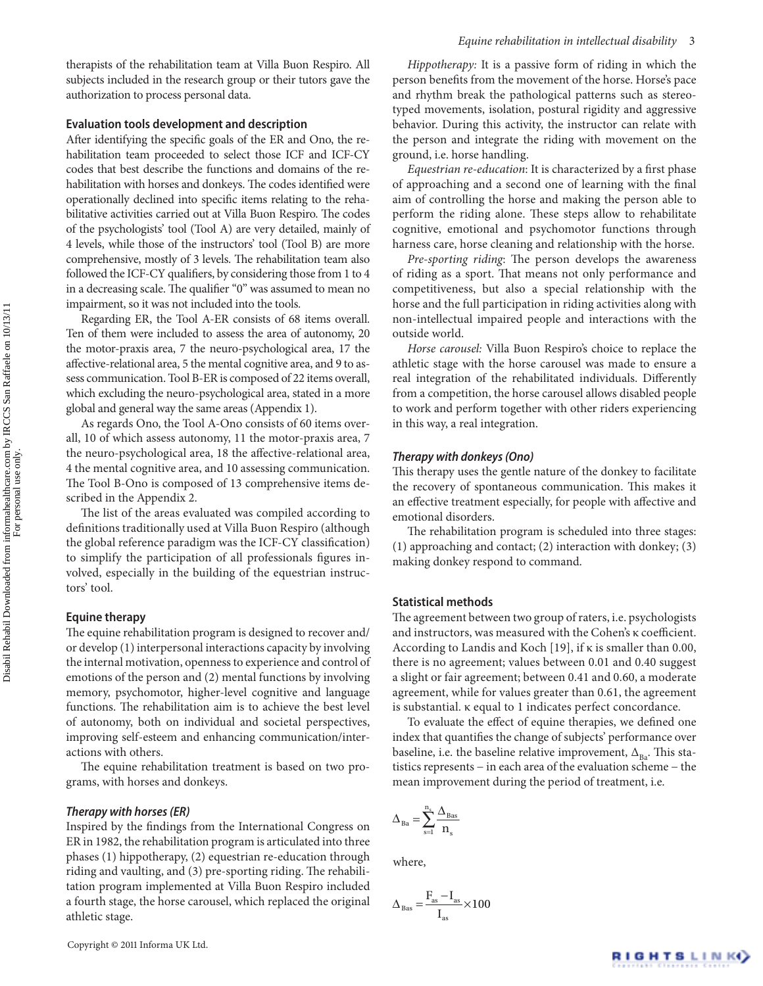therapists of the rehabilitation team at Villa Buon Respiro. All subjects included in the research group or their tutors gave the authorization to process personal data.

# **Evaluation tools development and description**

After identifying the specific goals of the ER and Ono, the rehabilitation team proceeded to select those ICF and ICF-CY codes that best describe the functions and domains of the rehabilitation with horses and donkeys. The codes identified were operationally declined into specific items relating to the rehabilitative activities carried out at Villa Buon Respiro. The codes of the psychologists' tool (Tool A) are very detailed, mainly of 4 levels, while those of the instructors' tool (Tool B) are more comprehensive, mostly of 3 levels. The rehabilitation team also followed the ICF-CY qualifiers, by considering those from 1 to 4 in a decreasing scale. The qualifier "0" was assumed to mean no impairment, so it was not included into the tools.

Regarding ER, the Tool A-ER consists of 68 items overall. Ten of them were included to assess the area of autonomy, 20 the motor-praxis area, 7 the neuro-psychological area, 17 the affective-relational area, 5 the mental cognitive area, and 9 to assess communication. Tool B-ER is composed of 22 items overall, which excluding the neuro-psychological area, stated in a more global and general way the same areas (Appendix 1).

As regards Ono, the Tool A-Ono consists of 60 items overall, 10 of which assess autonomy, 11 the motor-praxis area, 7 the neuro-psychological area, 18 the affective-relational area, 4 the mental cognitive area, and 10 assessing communication. The Tool B-Ono is composed of 13 comprehensive items described in the Appendix 2.

The list of the areas evaluated was compiled according to definitions traditionally used at Villa Buon Respiro (although the global reference paradigm was the ICF-CY classification) to simplify the participation of all professionals figures involved, especially in the building of the equestrian instructors' tool.

#### **Equine therapy**

The equine rehabilitation program is designed to recover and/ or develop (1) interpersonal interactions capacity by involving the internal motivation, openness to experience and control of emotions of the person and (2) mental functions by involving memory, psychomotor, higher-level cognitive and language functions. The rehabilitation aim is to achieve the best level of autonomy, both on individual and societal perspectives, improving self-esteem and enhancing communication/interactions with others.

The equine rehabilitation treatment is based on two programs, with horses and donkeys.

#### *Therapy with horses (ER)*

Inspired by the findings from the International Congress on ER in 1982, the rehabilitation program is articulated into three phases (1) hippotherapy, (2) equestrian re-education through riding and vaulting, and (3) pre-sporting riding. The rehabilitation program implemented at Villa Buon Respiro included a fourth stage, the horse carousel, which replaced the original athletic stage.

*Equestrian re-education*: It is characterized by a first phase of approaching and a second one of learning with the final aim of controlling the horse and making the person able to perform the riding alone. These steps allow to rehabilitate cognitive, emotional and psychomotor functions through harness care, horse cleaning and relationship with the horse.

*Pre-sporting riding*: The person develops the awareness of riding as a sport. That means not only performance and competitiveness, but also a special relationship with the horse and the full participation in riding activities along with non-intellectual impaired people and interactions with the outside world.

*Horse carousel:* Villa Buon Respiro's choice to replace the athletic stage with the horse carousel was made to ensure a real integration of the rehabilitated individuals. Differently from a competition, the horse carousel allows disabled people to work and perform together with other riders experiencing in this way, a real integration.

### *Therapy with donkeys (Ono)*

This therapy uses the gentle nature of the donkey to facilitate the recovery of spontaneous communication. This makes it an effective treatment especially, for people with affective and emotional disorders.

The rehabilitation program is scheduled into three stages: (1) approaching and contact; (2) interaction with donkey; (3) making donkey respond to command.

### **Statistical methods**

The agreement between two group of raters, i.e. psychologists and instructors, was measured with the Cohen's κ coefficient. According to Landis and Koch [[19\]](#page-7-9), if κ is smaller than 0.00, there is no agreement; values between 0.01 and 0.40 suggest a slight or fair agreement; between 0.41 and 0.60, a moderate agreement, while for values greater than 0.61, the agreement is substantial. κ equal to 1 indicates perfect concordance.

To evaluate the effect of equine therapies, we defined one index that quantifies the change of subjects' performance over baseline, i.e. the baseline relative improvement,  $\Delta_{\text{Ba}}$ . This statistics represents − in each area of the evaluation scheme − the mean improvement during the period of treatment, i.e.

$$
\Delta_{\text{Ba}} = \sum_{s=1}^{n_s} \frac{\Delta_{\text{Bas}}}{n_s}
$$

where,

$$
\Delta_{\text{Bas}} = \frac{F_{\text{as}} - I_{\text{as}}}{I_{\text{as}}} \times 100
$$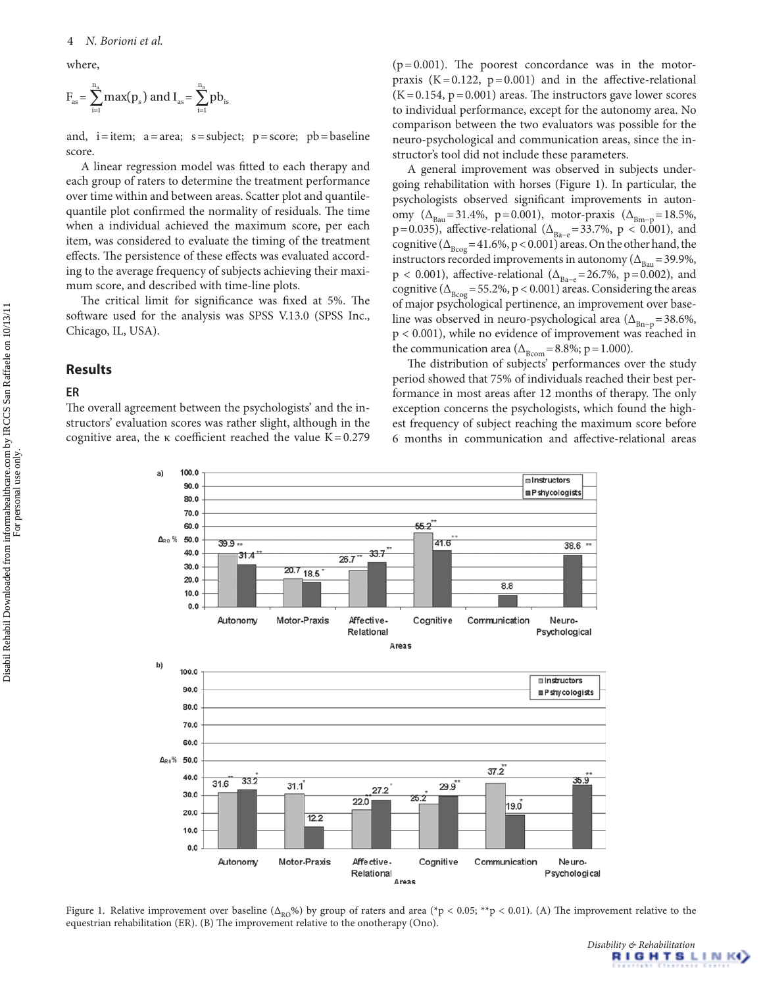where,

$$
F_{as} = \sum_{i=1}^{n_a} max(p_s) \text{ and } I_{as} = \sum_{i=1}^{n_a} pb_{is}
$$

and,  $i=item$ ;  $a=area$ ;  $s=subject$ ;  $p=score$ ;  $pb=baseline$ score.

A linear regression model was fitted to each therapy and each group of raters to determine the treatment performance over time within and between areas. Scatter plot and quantilequantile plot confirmed the normality of residuals. The time when a individual achieved the maximum score, per each item, was considered to evaluate the timing of the treatment effects. The persistence of these effects was evaluated according to the average frequency of subjects achieving their maximum score, and described with time-line plots.

The critical limit for significance was fixed at 5%. The software used for the analysis was SPSS V.13.0 (SPSS Inc., Chicago, IL, USA).

## **Results**

#### **ER**

The overall agreement between the psychologists' and the instructors' evaluation scores was rather slight, although in the cognitive area, the  $\kappa$  coefficient reached the value  $K=0.279$   $(p=0.001)$ . The poorest concordance was in the motorpraxis  $(K=0.122, p=0.001)$  and in the affective-relational  $(K=0.154, p=0.001)$  areas. The instructors gave lower scores to individual performance, except for the autonomy area. No comparison between the two evaluators was possible for the neuro-psychological and communication areas, since the instructor's tool did not include these parameters.

A general improvement was observed in subjects undergoing rehabilitation with horses ([Figure 1](#page-3-0)). In particular, the psychologists observed significant improvements in autonomy ( $\Delta_{Bau}$ =31.4%, p=0.001), motor-praxis ( $\Delta_{Bm-p}$ =18.5%, p=0.035), affective-relational ( $\Delta_{Ba-e}$ =33.7%, p < 0.001), and cognitive ( $\Delta_{\text{Bcog}}$  = 41.6%, p < 0.001) areas. On the other hand, the instructors recorded improvements in autonomy ( $\Delta_{\text{Bau}}$ =39.9%,  $p < 0.001$ ), affective-relational ( $\Delta_{Ba-e}$ =26.7%, p=0.002), and cognitive ( $\Delta_{\text{Bcoy}}$  = 55.2%, p < 0.001) areas. Considering the areas of major psychological pertinence, an improvement over baseline was observed in neuro-psychological area ( $\Delta_{Bn-p}$ =38.6%, p < 0.001), while no evidence of improvement was reached in the communication area ( $\Delta_{\text{Bcom}} = 8.8\%$ ; p=1.000).

The distribution of subjects' performances over the study period showed that 75% of individuals reached their best performance in most areas after 12 months of therapy. The only exception concerns the psychologists, which found the highest frequency of subject reaching the maximum score before 6 months in communication and affective-relational areas



<span id="page-3-0"></span>Figure 1. Relative improvement over baseline ( $\Delta_{\rm RO}$ %) by group of raters and area (\*p < 0.05; \*\*p < 0.01). (A) The improvement relative to the equestrian rehabilitation (ER). (B) The improvement relative to the onotherapy (Ono).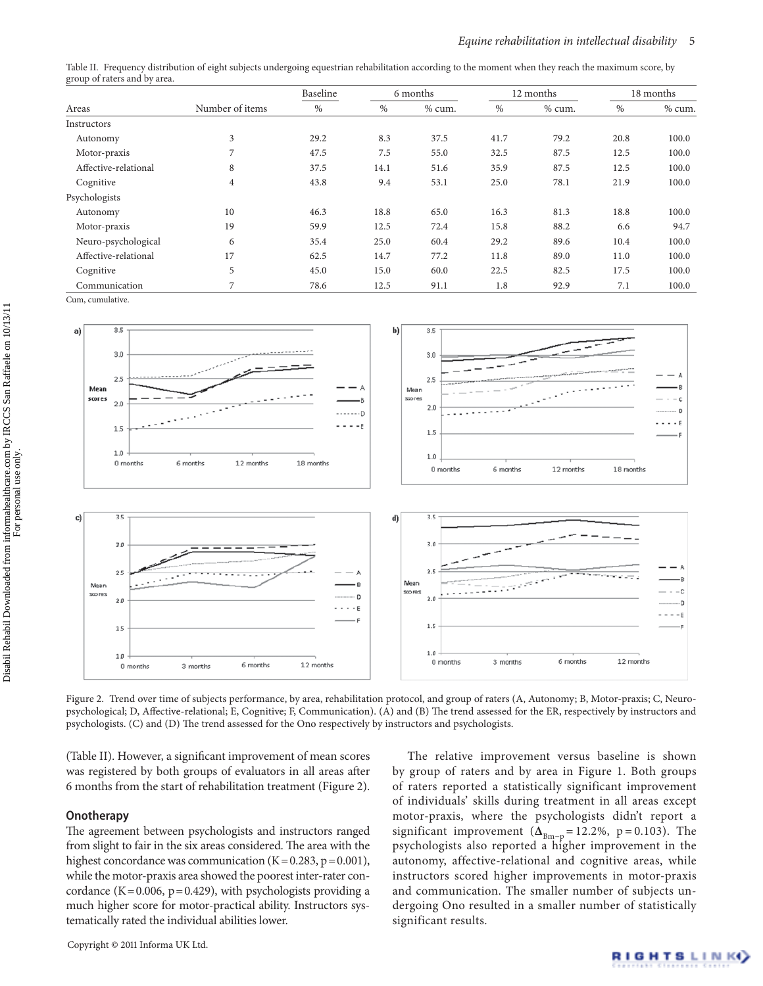Table II. Frequency distribution of eight subjects undergoing equestrian rehabilitation according to the moment when they reach the maximum score, by group of raters and by area.

|                      |                 | Baseline |      | 6 months |      | 12 months |      | 18 months |
|----------------------|-----------------|----------|------|----------|------|-----------|------|-----------|
| Areas                | Number of items | %        | $\%$ | % cum.   | $\%$ | $%$ cum.  | $\%$ | % cum.    |
| Instructors          |                 |          |      |          |      |           |      |           |
| Autonomy             | 3               | 29.2     | 8.3  | 37.5     | 41.7 | 79.2      | 20.8 | 100.0     |
| Motor-praxis         | 7               | 47.5     | 7.5  | 55.0     | 32.5 | 87.5      | 12.5 | 100.0     |
| Affective-relational | 8               | 37.5     | 14.1 | 51.6     | 35.9 | 87.5      | 12.5 | 100.0     |
| Cognitive            | $\overline{4}$  | 43.8     | 9.4  | 53.1     | 25.0 | 78.1      | 21.9 | 100.0     |
| Psychologists        |                 |          |      |          |      |           |      |           |
| Autonomy             | 10              | 46.3     | 18.8 | 65.0     | 16.3 | 81.3      | 18.8 | 100.0     |
| Motor-praxis         | 19              | 59.9     | 12.5 | 72.4     | 15.8 | 88.2      | 6.6  | 94.7      |
| Neuro-psychological  | 6               | 35.4     | 25.0 | 60.4     | 29.2 | 89.6      | 10.4 | 100.0     |
| Affective-relational | 17              | 62.5     | 14.7 | 77.2     | 11.8 | 89.0      | 11.0 | 100.0     |
| Cognitive            | 5               | 45.0     | 15.0 | 60.0     | 22.5 | 82.5      | 17.5 | 100.0     |
| Communication        | 7               | 78.6     | 12.5 | 91.1     | 1.8  | 92.9      | 7.1  | 100.0     |

Cum, cumulative.



<span id="page-4-0"></span>Figure 2. Trend over time of subjects performance, by area, rehabilitation protocol, and group of raters (A, Autonomy; B, Motor-praxis; C, Neuropsychological; D, Affective-relational; E, Cognitive; F, Communication). (A) and (B) The trend assessed for the ER, respectively by instructors and psychologists. (C) and (D) The trend assessed for the Ono respectively by instructors and psychologists.

(Table II). However, a significant improvement of mean scores was registered by both groups of evaluators in all areas after 6 months from the start of rehabilitation treatment ([Figure 2](#page-4-0)).

#### **Onotherapy**

The agreement between psychologists and instructors ranged from slight to fair in the six areas considered. The area with the highest concordance was communication  $(K=0.283, p=0.001)$ , while the motor-praxis area showed the poorest inter-rater concordance (K=0.006, p=0.429), with psychologists providing a much higher score for motor-practical ability. Instructors systematically rated the individual abilities lower.

The relative improvement versus baseline is shown by group of raters and by area in [Figure 1](#page-3-0). Both groups of raters reported a statistically significant improvement of individuals' skills during treatment in all areas except motor-praxis, where the psychologists didn't report a significant improvement  $(\Delta_{Bm-p} = 12.2\% , p = 0.103)$ . The psychologists also reported a higher improvement in the autonomy, affective-relational and cognitive areas, while instructors scored higher improvements in motor-praxis and communication. The smaller number of subjects undergoing Ono resulted in a smaller number of statistically significant results.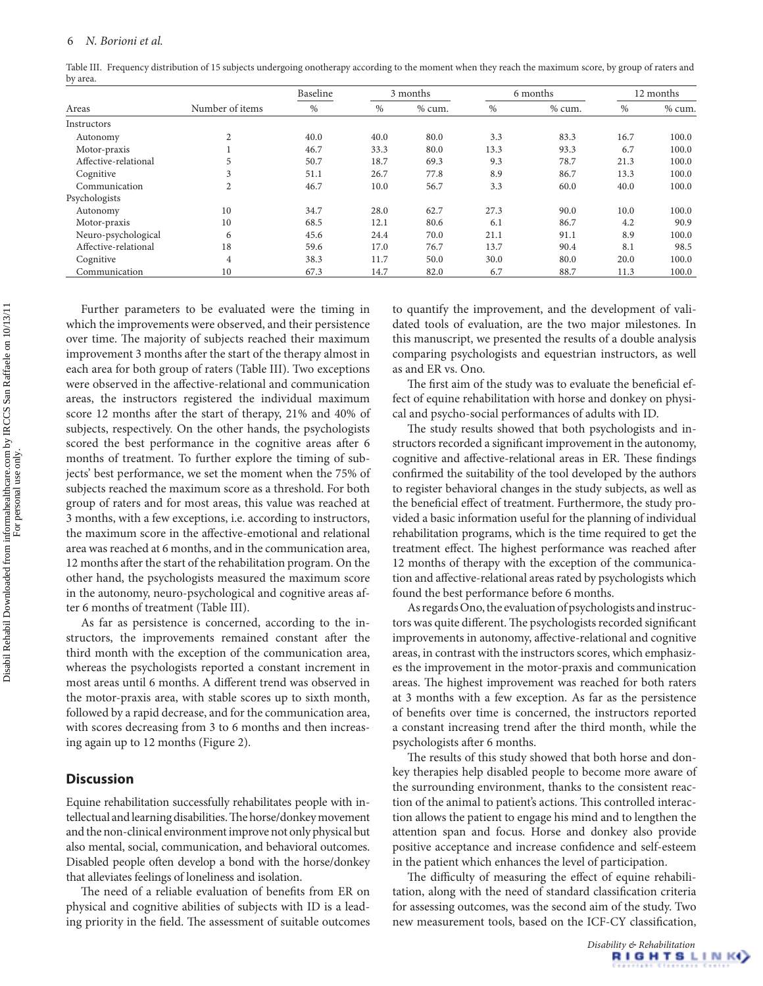Table III. Frequency distribution of 15 subjects undergoing onotherapy according to the moment when they reach the maximum score, by group of raters and by area

| $\epsilon$           |                 | Baseline<br>3 months |      | 6 months |      | 12 months |      |          |
|----------------------|-----------------|----------------------|------|----------|------|-----------|------|----------|
| Areas                | Number of items | %                    | $\%$ | % cum.   | $\%$ | % cum.    | %    | $%$ cum. |
| Instructors          |                 |                      |      |          |      |           |      |          |
| Autonomy             | 2               | 40.0                 | 40.0 | 80.0     | 3.3  | 83.3      | 16.7 | 100.0    |
| Motor-praxis         |                 | 46.7                 | 33.3 | 80.0     | 13.3 | 93.3      | 6.7  | 100.0    |
| Affective-relational | 5               | 50.7                 | 18.7 | 69.3     | 9.3  | 78.7      | 21.3 | 100.0    |
| Cognitive            | 3               | 51.1                 | 26.7 | 77.8     | 8.9  | 86.7      | 13.3 | 100.0    |
| Communication        | 2               | 46.7                 | 10.0 | 56.7     | 3.3  | 60.0      | 40.0 | 100.0    |
| Psychologists        |                 |                      |      |          |      |           |      |          |
| Autonomy             | 10              | 34.7                 | 28.0 | 62.7     | 27.3 | 90.0      | 10.0 | 100.0    |
| Motor-praxis         | 10              | 68.5                 | 12.1 | 80.6     | 6.1  | 86.7      | 4.2  | 90.9     |
| Neuro-psychological  | 6               | 45.6                 | 24.4 | 70.0     | 21.1 | 91.1      | 8.9  | 100.0    |
| Affective-relational | 18              | 59.6                 | 17.0 | 76.7     | 13.7 | 90.4      | 8.1  | 98.5     |
| Cognitive            | 4               | 38.3                 | 11.7 | 50.0     | 30.0 | 80.0      | 20.0 | 100.0    |
| Communication        | 10              | 67.3                 | 14.7 | 82.0     | 6.7  | 88.7      | 11.3 | 100.0    |

Further parameters to be evaluated were the timing in which the improvements were observed, and their persistence over time. The majority of subjects reached their maximum improvement 3 months after the start of the therapy almost in each area for both group of raters (Table III). Two exceptions were observed in the affective-relational and communication areas, the instructors registered the individual maximum score 12 months after the start of therapy, 21% and 40% of subjects, respectively. On the other hands, the psychologists scored the best performance in the cognitive areas after 6 months of treatment. To further explore the timing of subjects' best performance, we set the moment when the 75% of subjects reached the maximum score as a threshold. For both group of raters and for most areas, this value was reached at 3 months, with a few exceptions, i.e. according to instructors, the maximum score in the affective-emotional and relational area was reached at 6 months, and in the communication area, 12 months after the start of the rehabilitation program. On the other hand, the psychologists measured the maximum score in the autonomy, neuro-psychological and cognitive areas after 6 months of treatment (Table III).

As far as persistence is concerned, according to the instructors, the improvements remained constant after the third month with the exception of the communication area, whereas the psychologists reported a constant increment in most areas until 6 months. A different trend was observed in the motor-praxis area, with stable scores up to sixth month, followed by a rapid decrease, and for the communication area, with scores decreasing from 3 to 6 months and then increasing again up to 12 months ([Figure 2\)](#page-4-0).

# **Discussion**

Equine rehabilitation successfully rehabilitates people with intellectual and learning disabilities. The horse/donkey movement and the non-clinical environment improve not only physical but also mental, social, communication, and behavioral outcomes. Disabled people often develop a bond with the horse/donkey that alleviates feelings of loneliness and isolation.

The need of a reliable evaluation of benefits from ER on physical and cognitive abilities of subjects with ID is a leading priority in the field. The assessment of suitable outcomes to quantify the improvement, and the development of validated tools of evaluation, are the two major milestones. In this manuscript, we presented the results of a double analysis comparing psychologists and equestrian instructors, as well as and ER vs. Ono.

The first aim of the study was to evaluate the beneficial effect of equine rehabilitation with horse and donkey on physical and psycho-social performances of adults with ID.

The study results showed that both psychologists and instructors recorded a significant improvement in the autonomy, cognitive and affective-relational areas in ER. These findings confirmed the suitability of the tool developed by the authors to register behavioral changes in the study subjects, as well as the beneficial effect of treatment. Furthermore, the study provided a basic information useful for the planning of individual rehabilitation programs, which is the time required to get the treatment effect. The highest performance was reached after 12 months of therapy with the exception of the communication and affective-relational areas rated by psychologists which found the best performance before 6 months.

As regards Ono, the evaluation of psychologists and instructors was quite different. The psychologists recorded significant improvements in autonomy, affective-relational and cognitive areas, in contrast with the instructors scores, which emphasizes the improvement in the motor-praxis and communication areas. The highest improvement was reached for both raters at 3 months with a few exception. As far as the persistence of benefits over time is concerned, the instructors reported a constant increasing trend after the third month, while the psychologists after 6 months.

The results of this study showed that both horse and donkey therapies help disabled people to become more aware of the surrounding environment, thanks to the consistent reaction of the animal to patient's actions. This controlled interaction allows the patient to engage his mind and to lengthen the attention span and focus. Horse and donkey also provide positive acceptance and increase confidence and self-esteem in the patient which enhances the level of participation.

The difficulty of measuring the effect of equine rehabilitation, along with the need of standard classification criteria for assessing outcomes, was the second aim of the study. Two new measurement tools, based on the ICF-CY classification,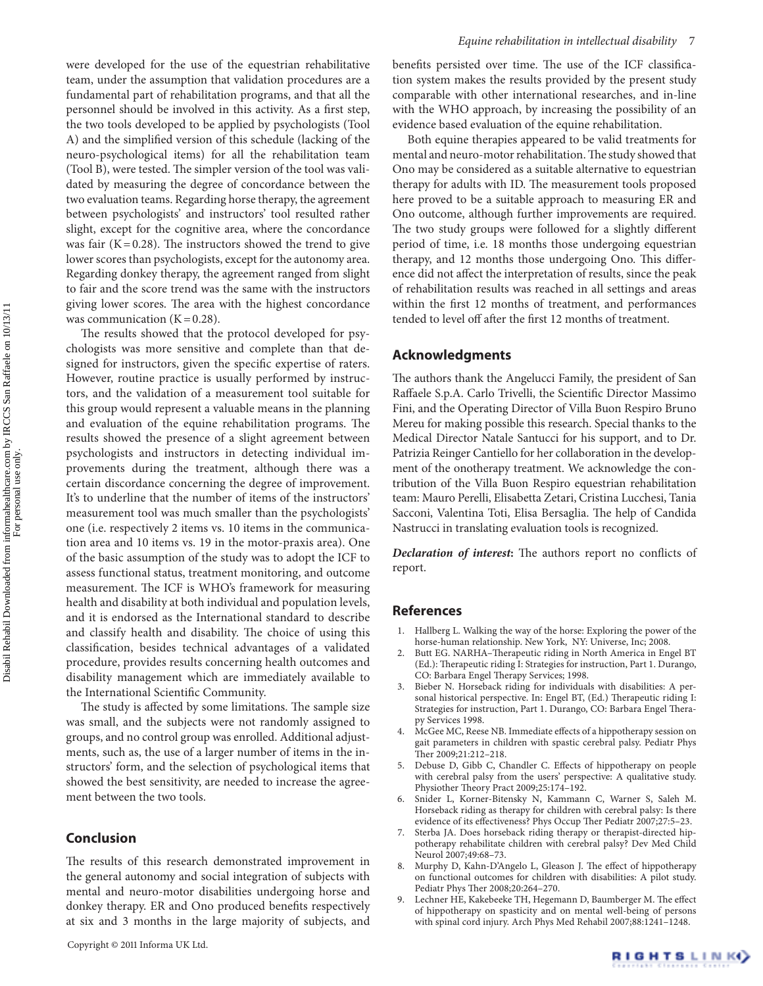were developed for the use of the equestrian rehabilitative team, under the assumption that validation procedures are a fundamental part of rehabilitation programs, and that all the personnel should be involved in this activity. As a first step, the two tools developed to be applied by psychologists (Tool A) and the simplified version of this schedule (lacking of the neuro-psychological items) for all the rehabilitation team (Tool B), were tested. The simpler version of the tool was validated by measuring the degree of concordance between the two evaluation teams. Regarding horse therapy, the agreement between psychologists' and instructors' tool resulted rather slight, except for the cognitive area, where the concordance was fair  $(K=0.28)$ . The instructors showed the trend to give lower scores than psychologists, except for the autonomy area. Regarding donkey therapy, the agreement ranged from slight to fair and the score trend was the same with the instructors giving lower scores. The area with the highest concordance was communication  $(K=0.28)$ .

The results showed that the protocol developed for psychologists was more sensitive and complete than that designed for instructors, given the specific expertise of raters. However, routine practice is usually performed by instructors, and the validation of a measurement tool suitable for this group would represent a valuable means in the planning and evaluation of the equine rehabilitation programs. The results showed the presence of a slight agreement between psychologists and instructors in detecting individual improvements during the treatment, although there was a certain discordance concerning the degree of improvement. It's to underline that the number of items of the instructors' measurement tool was much smaller than the psychologists' one (i.e. respectively 2 items vs. 10 items in the communication area and 10 items vs. 19 in the motor-praxis area). One of the basic assumption of the study was to adopt the ICF to assess functional status, treatment monitoring, and outcome measurement. The ICF is WHO's framework for measuring health and disability at both individual and population levels, and it is endorsed as the International standard to describe and classify health and disability. The choice of using this classification, besides technical advantages of a validated procedure, provides results concerning health outcomes and disability management which are immediately available to the International Scientific Community.

The study is affected by some limitations. The sample size was small, and the subjects were not randomly assigned to groups, and no control group was enrolled. Additional adjustments, such as, the use of a larger number of items in the instructors' form, and the selection of psychological items that showed the best sensitivity, are needed to increase the agreement between the two tools.

# **Conclusion**

The results of this research demonstrated improvement in the general autonomy and social integration of subjects with mental and neuro-motor disabilities undergoing horse and donkey therapy. ER and Ono produced benefits respectively at six and 3 months in the large majority of subjects, and benefits persisted over time. The use of the ICF classification system makes the results provided by the present study comparable with other international researches, and in-line with the WHO approach, by increasing the possibility of an evidence based evaluation of the equine rehabilitation.

Both equine therapies appeared to be valid treatments for mental and neuro-motor rehabilitation. The study showed that Ono may be considered as a suitable alternative to equestrian therapy for adults with ID. The measurement tools proposed here proved to be a suitable approach to measuring ER and Ono outcome, although further improvements are required. The two study groups were followed for a slightly different period of time, i.e. 18 months those undergoing equestrian therapy, and 12 months those undergoing Ono. This difference did not affect the interpretation of results, since the peak of rehabilitation results was reached in all settings and areas within the first 12 months of treatment, and performances tended to level off after the first 12 months of treatment.

# **Acknowledgments**

The authors thank the Angelucci Family, the president of San Raffaele S.p.A. Carlo Trivelli, the Scientific Director Massimo Fini, and the Operating Director of Villa Buon Respiro Bruno Mereu for making possible this research. Special thanks to the Medical Director Natale Santucci for his support, and to Dr. Patrizia Reinger Cantiello for her collaboration in the development of the onotherapy treatment. We acknowledge the contribution of the Villa Buon Respiro equestrian rehabilitation team: Mauro Perelli, Elisabetta Zetari, Cristina Lucchesi, Tania Sacconi, Valentina Toti, Elisa Bersaglia. The help of Candida Nastrucci in translating evaluation tools is recognized.

*Declaration of interest***:** The authors report no conflicts of report.

#### **References**

- 1. Hallberg L. Walking the way of the horse: Exploring the power of the horse-human relationship. New York, NY: Universe, Inc; 2008.
- 2. Butt EG. NARHA–Therapeutic riding in North America in Engel BT (Ed.): Therapeutic riding I: Strategies for instruction, Part 1. Durango, CO: Barbara Engel Therapy Services; 1998.
- 3. Bieber N. Horseback riding for individuals with disabilities: A personal historical perspective. In: Engel BT, (Ed.) Therapeutic riding I: Strategies for instruction, Part 1. Durango, CO: Barbara Engel Therapy Services 1998.
- 4. McGee MC, Reese NB. Immediate effects of a hippotherapy session on gait parameters in children with spastic cerebral palsy. Pediatr Phys Ther 2009;21:212–218.
- 5. Debuse D, Gibb C, Chandler C. Effects of hippotherapy on people with cerebral palsy from the users' perspective: A qualitative study. Physiother Theory Pract 2009;25:174–192.
- 6. Snider L, Korner-Bitensky N, Kammann C, Warner S, Saleh M. Horseback riding as therapy for children with cerebral palsy: Is there evidence of its effectiveness? Phys Occup Ther Pediatr 2007;27:5–23.
- 7. Sterba JA. Does horseback riding therapy or therapist-directed hippotherapy rehabilitate children with cerebral palsy? Dev Med Child Neurol 2007;49:68–73.
- 8. Murphy D, Kahn-D'Angelo L, Gleason J. The effect of hippotherapy on functional outcomes for children with disabilities: A pilot study. Pediatr Phys Ther 2008;20:264–270.
- <span id="page-6-0"></span>9. Lechner HE, Kakebeeke TH, Hegemann D, Baumberger M. The effect of hippotherapy on spasticity and on mental well-being of persons with spinal cord injury. Arch Phys Med Rehabil 2007;88:1241–1248.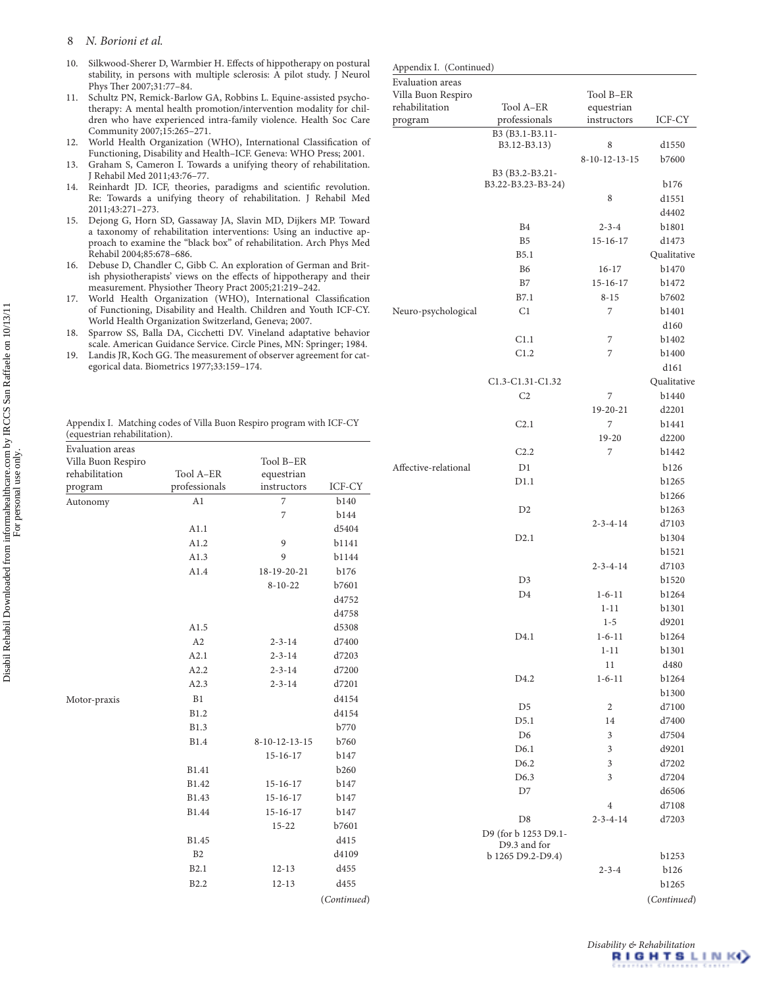- 8 *N. Borioni et al.*
- <span id="page-7-0"></span>10. Silkwood-Sherer D, Warmbier H. Effects of hippotherapy on postural stability, in persons with multiple sclerosis: A pilot study. J Neurol Phys Ther 2007;31:77–84.
- <span id="page-7-1"></span>11. Schultz PN, Remick-Barlow GA, Robbins L. Equine-assisted psychotherapy: A mental health promotion/intervention modality for children who have experienced intra-family violence. Health Soc Care Community 2007;15:265–271.
- <span id="page-7-2"></span>12. World Health Organization (WHO), International Classification of Functioning, Disability and Health–ICF. Geneva: WHO Press; 2001.
- <span id="page-7-3"></span>13. Graham S, Cameron I. Towards a unifying theory of rehabilitation. J Rehabil Med 2011;43:76–77.
- <span id="page-7-4"></span>14. Reinhardt JD. ICF, theories, paradigms and scientific revolution. Re: Towards a unifying theory of rehabilitation. J Rehabil Med 2011;43:271–273.
- <span id="page-7-5"></span>15. Dejong G, Horn SD, Gassaway JA, Slavin MD, Dijkers MP. Toward a taxonomy of rehabilitation interventions: Using an inductive approach to examine the "black box" of rehabilitation. Arch Phys Med Rehabil 2004;85:678–686.
- <span id="page-7-6"></span>16. Debuse D, Chandler C, Gibb C. An exploration of German and British physiotherapists' views on the effects of hippotherapy and their measurement. Physiother Theory Pract 2005;21:219–242.
- <span id="page-7-7"></span>17. World Health Organization (WHO), International Classification of Functioning, Disability and Health. Children and Youth ICF-CY. World Health Organization Switzerland, Geneva; 2007.
- <span id="page-7-8"></span>18. Sparrow SS, Balla DA, Cicchetti DV. Vineland adaptative behavior scale. American Guidance Service. Circle Pines, MN: Springer; 1984.
- <span id="page-7-9"></span>19. Landis JR, Koch GG. The measurement of observer agreement for categorical data. Biometrics 1977;33:159–174.

Appendix I. Matching codes of Villa Buon Respiro program with ICF-CY (equestrian rehabilitation).

| Evaluation areas   |                |                         |              |                      | C <sub>2.2</sub>     | 7                | b1442        |
|--------------------|----------------|-------------------------|--------------|----------------------|----------------------|------------------|--------------|
| Villa Buon Respiro |                | Tool B-ER               |              | Affective-relational | D1                   |                  | <b>b126</b>  |
| rehabilitation     | Tool A-ER      | equestrian              |              |                      | D1.1                 |                  | b1265        |
| program            | professionals  | instructors             | ICF-CY       |                      |                      |                  | <b>b1266</b> |
| Autonomy           | A1             | $\overline{7}$          | <b>b140</b>  |                      | D2                   |                  | b1263        |
|                    |                | $\overline{7}$          | <b>b</b> 144 |                      |                      | $2 - 3 - 4 - 14$ | d7103        |
|                    | A1.1           |                         | d5404        |                      | D <sub>2.1</sub>     |                  | b1304        |
|                    | A1.2           | 9                       | b1141        |                      |                      |                  | b1521        |
|                    | A1.3           | 9                       | b1144        |                      |                      | $2 - 3 - 4 - 14$ | d7103        |
|                    | A1.4           | 18-19-20-21             | b176         |                      | D3                   |                  | b1520        |
|                    |                | $8 - 10 - 22$           | <b>b7601</b> |                      | D <sub>4</sub>       | $1 - 6 - 11$     | <b>b1264</b> |
|                    |                |                         | d4752        |                      |                      | $1 - 11$         | b1301        |
|                    |                |                         | d4758        |                      |                      | $1 - 5$          | d9201        |
|                    | A1.5           |                         | d5308        |                      | D <sub>4.1</sub>     | $1 - 6 - 11$     | b1264        |
|                    | A2             | $2 - 3 - 14$            | d7400        |                      |                      | $1 - 11$         | b1301        |
|                    | A2.1           | $2 - 3 - 14$            | d7203        |                      |                      | 11               | d480         |
|                    | A2.2           | $2 - 3 - 14$            | d7200        |                      | D4.2                 | $1 - 6 - 11$     | <b>b1264</b> |
|                    | A2.3           | $2 - 3 - 14$            | d7201        |                      |                      |                  | <b>b1300</b> |
| Motor-praxis       | B1             |                         | d4154        |                      | D <sub>5</sub>       | $\mathbf{2}$     | d7100        |
|                    | <b>B1.2</b>    |                         | d4154        |                      | D5.1                 | 14               | d7400        |
|                    | <b>B1.3</b>    |                         | <b>b770</b>  |                      | D <sub>6</sub>       | 3                | d7504        |
|                    | <b>B1.4</b>    | $8 - 10 - 12 - 13 - 15$ | <b>b760</b>  |                      | D6.1                 | 3                | d9201        |
|                    |                | $15 - 16 - 17$          | b147         |                      | D6.2                 | 3                | d7202        |
|                    | <b>B1.41</b>   |                         | <b>b260</b>  |                      | D6.3                 | 3                | d7204        |
|                    | B1.42          | $15 - 16 - 17$          | b147         |                      | D7                   |                  | d6506        |
|                    | B1.43          | $15 - 16 - 17$          | b147         |                      |                      | $\overline{4}$   | d7108        |
|                    | <b>B1.44</b>   | $15 - 16 - 17$          | b147         |                      | $\mathbf{D}8$        | $2 - 3 - 4 - 14$ | d7203        |
|                    |                | $15 - 22$               | b7601        |                      | D9 (for b 1253 D9.1- |                  |              |
|                    | <b>B1.45</b>   |                         | d415         |                      | D9.3 and for         |                  |              |
|                    | B <sub>2</sub> |                         | d4109        |                      | b 1265 D9.2-D9.4)    |                  | b1253        |
|                    | <b>B2.1</b>    | $12 - 13$               | d455         |                      |                      | $2 - 3 - 4$      | <b>b126</b>  |
|                    | <b>B2.2</b>    | $12 - 13$               | d455         |                      |                      |                  | b1265        |
|                    |                |                         | (Continued)  |                      |                      |                  | (Continued)  |

Appendix I. (Continued) Evaluation areas Villa Buon Respiro rehabilitation program Tool A–ER professionals Tool B–ER equestrian instructors ICF-CY B3 (B3.1-B3.11- B3.12-B3.13) 8 d1550 8-10-12-13-15 b7600 B3 (B3.2-B3.21- B3.22-B3.23-B3-24) 8 b176 d1551 d4402 B4 2-3-4 b1801 B5 15-16-17 d1473 B5.1 Qualitative B6 16-17 b1470 B7 15-16-17 b1472 B7.1 8-15 b7602 Neuro-psychological C1 7 b1401 d160 C1.1 7 b1402 C1.2 7 b1400 d161 C1.3-C1.31-C1.32 Qualitative C2 7 b1440 19-20-21 d2201 C2.1 7 b1441 19-20 d2200 C2.2 7 b1442 Affective-relational D1 b126 D1.1 b1265 b1266 D2 b1263 2-3-4-14 d7103 D2.1 b1304 b1521 2-3-4-14 d7103 D3 b1520 D4 1-6-11 b1264 1-11 b1301 1-5 d9201 D4.1 1-6-11 b1264 1-11 b1301 11 d480 D4.2 1-6-11 b1264 b1300 D5 2 d7100 D5.1 14 d7400 D6 3 d7504 D6.1 3 d9201 D6.2 3 d7202 D6.3 3 d7204 D7 d6506 4 d7108 D8 2-3-4-14 d7203 D9 (for b 1253 D9.1- D9.3 and for b 1265 D9.2-D9.4) 2-3-4 b1253 b126 b1265

*Disability & Rehabilitation*